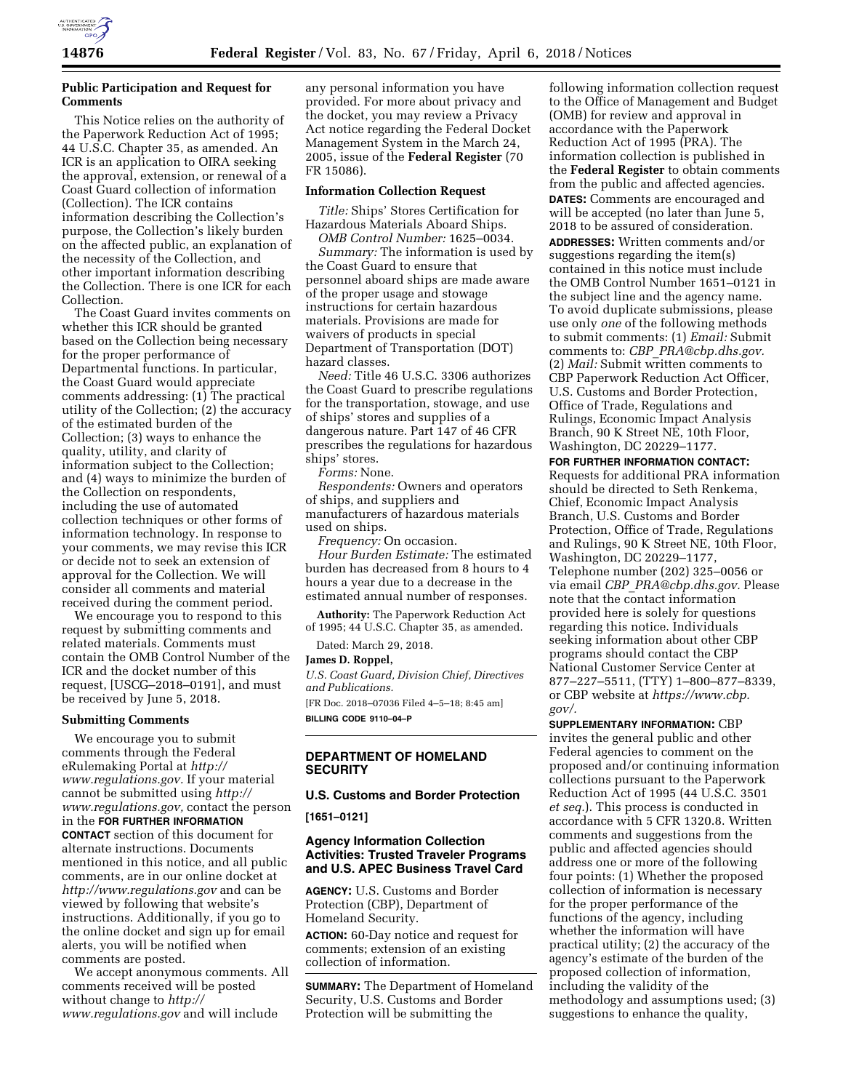

# **Public Participation and Request for Comments**

This Notice relies on the authority of the Paperwork Reduction Act of 1995; 44 U.S.C. Chapter 35, as amended. An ICR is an application to OIRA seeking the approval, extension, or renewal of a Coast Guard collection of information (Collection). The ICR contains information describing the Collection's purpose, the Collection's likely burden on the affected public, an explanation of the necessity of the Collection, and other important information describing the Collection. There is one ICR for each Collection.

The Coast Guard invites comments on whether this ICR should be granted based on the Collection being necessary for the proper performance of Departmental functions. In particular, the Coast Guard would appreciate comments addressing: (1) The practical utility of the Collection; (2) the accuracy of the estimated burden of the Collection; (3) ways to enhance the quality, utility, and clarity of information subject to the Collection; and (4) ways to minimize the burden of the Collection on respondents, including the use of automated collection techniques or other forms of information technology. In response to your comments, we may revise this ICR or decide not to seek an extension of approval for the Collection. We will consider all comments and material received during the comment period.

We encourage you to respond to this request by submitting comments and related materials. Comments must contain the OMB Control Number of the ICR and the docket number of this request, [USCG–2018–0191], and must be received by June 5, 2018.

### **Submitting Comments**

We encourage you to submit comments through the Federal eRulemaking Portal at *[http://](http://www.regulations.gov) [www.regulations.gov.](http://www.regulations.gov)* If your material cannot be submitted using *[http://](http://www.regulations.gov) [www.regulations.gov,](http://www.regulations.gov)* contact the person in the **FOR FURTHER INFORMATION CONTACT** section of this document for alternate instructions. Documents mentioned in this notice, and all public comments, are in our online docket at *<http://www.regulations.gov>* and can be viewed by following that website's instructions. Additionally, if you go to the online docket and sign up for email alerts, you will be notified when comments are posted.

We accept anonymous comments. All comments received will be posted without change to *[http://](http://www.regulations.gov) [www.regulations.gov](http://www.regulations.gov)* and will include

any personal information you have provided. For more about privacy and the docket, you may review a Privacy Act notice regarding the Federal Docket Management System in the March 24, 2005, issue of the **Federal Register** (70 FR 15086).

### **Information Collection Request**

*Title:* Ships' Stores Certification for Hazardous Materials Aboard Ships.

*OMB Control Number:* 1625–0034. *Summary:* The information is used by the Coast Guard to ensure that personnel aboard ships are made aware of the proper usage and stowage instructions for certain hazardous materials. Provisions are made for waivers of products in special Department of Transportation (DOT) hazard classes.

*Need:* Title 46 U.S.C. 3306 authorizes the Coast Guard to prescribe regulations for the transportation, stowage, and use of ships' stores and supplies of a dangerous nature. Part 147 of 46 CFR prescribes the regulations for hazardous ships' stores.

*Forms:* None.

*Respondents:* Owners and operators of ships, and suppliers and manufacturers of hazardous materials used on ships.

*Frequency:* On occasion. *Hour Burden Estimate:* The estimated burden has decreased from 8 hours to 4 hours a year due to a decrease in the estimated annual number of responses.

**Authority:** The Paperwork Reduction Act of 1995; 44 U.S.C. Chapter 35, as amended.

Dated: March 29, 2018.

#### **James D. Roppel,**

*U.S. Coast Guard, Division Chief, Directives and Publications.* 

[FR Doc. 2018–07036 Filed 4–5–18; 8:45 am] **BILLING CODE 9110–04–P** 

# **DEPARTMENT OF HOMELAND SECURITY**

**U.S. Customs and Border Protection** 

**[1651–0121]** 

# **Agency Information Collection Activities: Trusted Traveler Programs and U.S. APEC Business Travel Card**

**AGENCY:** U.S. Customs and Border Protection (CBP), Department of Homeland Security.

**ACTION:** 60-Day notice and request for comments; extension of an existing collection of information.

**SUMMARY:** The Department of Homeland Security, U.S. Customs and Border Protection will be submitting the

following information collection request to the Office of Management and Budget (OMB) for review and approval in accordance with the Paperwork Reduction Act of 1995 (PRA). The information collection is published in the **Federal Register** to obtain comments from the public and affected agencies. **DATES:** Comments are encouraged and will be accepted (no later than June 5, 2018 to be assured of consideration. **ADDRESSES:** Written comments and/or suggestions regarding the item(s) contained in this notice must include the OMB Control Number 1651–0121 in the subject line and the agency name. To avoid duplicate submissions, please use only *one* of the following methods to submit comments: (1) *Email:* Submit comments to: *CBP*\_*[PRA@cbp.dhs.gov.](mailto:CBP_PRA@cbp.dhs.gov)*  (2) *Mail:* Submit written comments to CBP Paperwork Reduction Act Officer, U.S. Customs and Border Protection, Office of Trade, Regulations and Rulings, Economic Impact Analysis Branch, 90 K Street NE, 10th Floor, Washington, DC 20229–1177.

**FOR FURTHER INFORMATION CONTACT:**  Requests for additional PRA information should be directed to Seth Renkema, Chief, Economic Impact Analysis Branch, U.S. Customs and Border Protection, Office of Trade, Regulations and Rulings, 90 K Street NE, 10th Floor, Washington, DC 20229–1177, Telephone number (202) 325–0056 or via email *CBP*\_*[PRA@cbp.dhs.gov.](mailto:CBP_PRA@cbp.dhs.gov)* Please note that the contact information provided here is solely for questions regarding this notice. Individuals seeking information about other CBP programs should contact the CBP National Customer Service Center at 877–227–5511, (TTY) 1–800–877–8339, or CBP website at *[https://www.cbp.](https://www.cbp.gov/)  [gov/.](https://www.cbp.gov/)* 

**SUPPLEMENTARY INFORMATION:** CBP invites the general public and other Federal agencies to comment on the proposed and/or continuing information collections pursuant to the Paperwork Reduction Act of 1995 (44 U.S.C. 3501 *et seq.*). This process is conducted in accordance with 5 CFR 1320.8. Written comments and suggestions from the public and affected agencies should address one or more of the following four points: (1) Whether the proposed collection of information is necessary for the proper performance of the functions of the agency, including whether the information will have practical utility; (2) the accuracy of the agency's estimate of the burden of the proposed collection of information, including the validity of the methodology and assumptions used; (3) suggestions to enhance the quality,